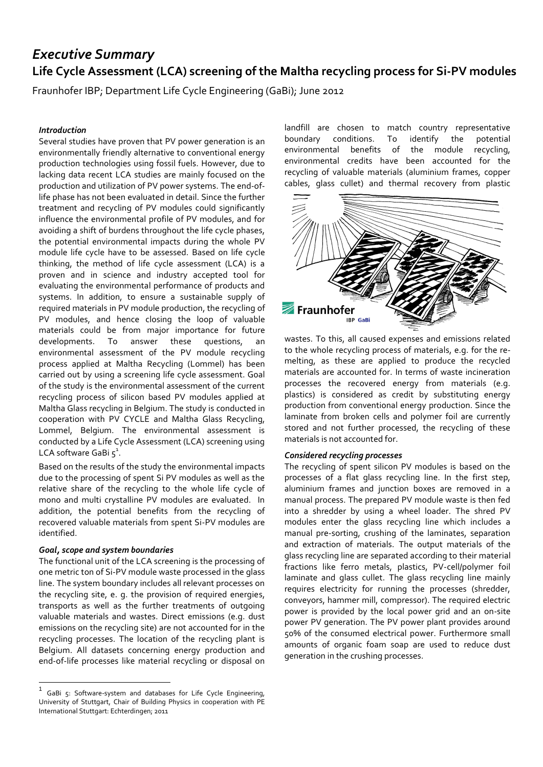# *Executive Summary* **Life Cycle Assessment (LCA) screening of the Maltha recycling process for Si-PV modules**

Fraunhofer IBP; Department Life Cycle Engineering (GaBi); June 2012

# *Introduction*

Several studies have proven that PV power generation is an environmentally friendly alternative to conventional energy production technologies using fossil fuels. However, due to lacking data recent LCA studies are mainly focused on the production and utilization of PV power systems. The end-oflife phase has not been evaluated in detail. Since the further treatment and recycling of PV modules could significantly influence the environmental profile of PV modules, and for avoiding a shift of burdens throughout the life cycle phases, the potential environmental impacts during the whole PV module life cycle have to be assessed. Based on life cycle thinking, the method of life cycle assessment (LCA) is a proven and in science and industry accepted tool for evaluating the environmental performance of products and systems. In addition, to ensure a sustainable supply of required materials in PV module production, the recycling of PV modules, and hence closing the loop of valuable materials could be from major importance for future developments. To answer these questions, an environmental assessment of the PV module recycling process applied at Maltha Recycling (Lommel) has been carried out by using a screening life cycle assessment. Goal of the study is the environmental assessment of the current recycling process of silicon based PV modules applied at Maltha Glass recycling in Belgium. The study is conducted in cooperation with PV CYCLE and Maltha Glass Recycling, Lommel, Belgium. The environmental assessment is conducted by a Life Cycle Assessment (LCA) screening using LCA software GaBi  $5^1$ .

Based on the results of the study the environmental impacts due to the processing of spent Si PV modules as well as the relative share of the recycling to the whole life cycle of mono and multi crystalline PV modules are evaluated. In addition, the potential benefits from the recycling of recovered valuable materials from spent Si-PV modules are identified.

## *Goal, scope and system boundaries*

 $\overline{a}$ 

The functional unit of the LCA screening is the processing of one metric ton of Si-PV module waste processed in the glass line. The system boundary includes all relevant processes on the recycling site, e. g. the provision of required energies, transports as well as the further treatments of outgoing valuable materials and wastes. Direct emissions (e.g. dust emissions on the recycling site) are not accounted for in the recycling processes. The location of the recycling plant is Belgium. All datasets concerning energy production and end-of-life processes like material recycling or disposal on landfill are chosen to match country representative boundary conditions. To identify the potential environmental benefits of the module recycling, environmental credits have been accounted for the recycling of valuable materials (aluminium frames, copper cables, glass cullet) and thermal recovery from plastic



wastes. To this, all caused expenses and emissions related to the whole recycling process of materials, e.g. for the remelting, as these are applied to produce the recycled materials are accounted for. In terms of waste incineration processes the recovered energy from materials (e.g. plastics) is considered as credit by substituting energy production from conventional energy production. Since the laminate from broken cells and polymer foil are currently stored and not further processed, the recycling of these materials is not accounted for.

#### *Considered recycling processes*

The recycling of spent silicon PV modules is based on the processes of a flat glass recycling line. In the first step, aluminium frames and junction boxes are removed in a manual process. The prepared PV module waste is then fed into a shredder by using a wheel loader. The shred PV modules enter the glass recycling line which includes a manual pre-sorting, crushing of the laminates, separation and extraction of materials. The output materials of the glass recycling line are separated according to their material fractions like ferro metals, plastics, PV-cell/polymer foil laminate and glass cullet. The glass recycling line mainly requires electricity for running the processes (shredder, conveyors, hammer mill, compressor). The required electric power is provided by the local power grid and an on-site power PV generation. The PV power plant provides around 50% of the consumed electrical power. Furthermore small amounts of organic foam soap are used to reduce dust generation in the crushing processes.

<sup>1</sup> GaBi 5: Software-system and databases for Life Cycle Engineering, University of Stuttgart, Chair of Building Physics in cooperation with PE International Stuttgart: Echterdingen; 2011